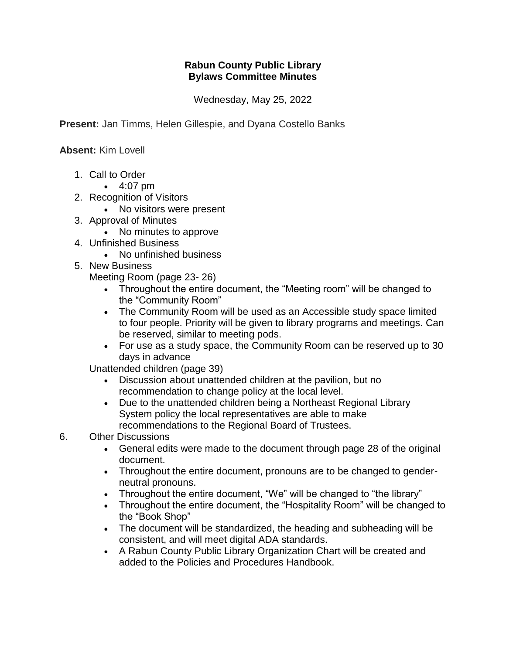## **Rabun County Public Library Bylaws Committee Minutes**

Wednesday, May 25, 2022

**Present:** Jan Timms, Helen Gillespie, and Dyana Costello Banks

**Absent:** Kim Lovell

- 1. Call to Order
	- 4:07 pm
- 2. Recognition of Visitors
	- No visitors were present
- 3. Approval of Minutes
	- No minutes to approve
- 4. Unfinished Business
	- No unfinished business
- 5. New Business

Meeting Room (page 23- 26)

- Throughout the entire document, the "Meeting room" will be changed to the "Community Room"
- The Community Room will be used as an Accessible study space limited to four people. Priority will be given to library programs and meetings. Can be reserved, similar to meeting pods.
- For use as a study space, the Community Room can be reserved up to 30 days in advance

Unattended children (page 39)

- Discussion about unattended children at the pavilion, but no recommendation to change policy at the local level.
- Due to the unattended children being a Northeast Regional Library System policy the local representatives are able to make recommendations to the Regional Board of Trustees.

## 6. Other Discussions

- General edits were made to the document through page 28 of the original document.
- Throughout the entire document, pronouns are to be changed to genderneutral pronouns.
- Throughout the entire document, "We" will be changed to "the library"
- Throughout the entire document, the "Hospitality Room" will be changed to the "Book Shop"
- The document will be standardized, the heading and subheading will be consistent, and will meet digital ADA standards.
- A Rabun County Public Library Organization Chart will be created and added to the Policies and Procedures Handbook.